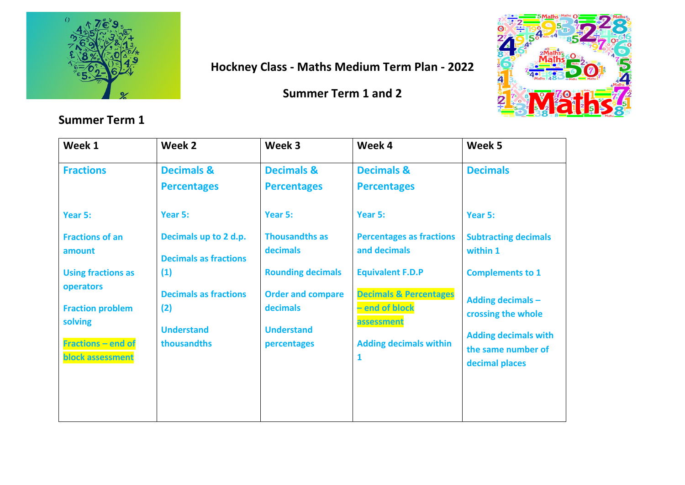

## **Hockney Class - Maths Medium Term Plan - 2022**

### **Summer Term 1 and 2**



| Week 1                                        | Week 2                                                | Week 3                                      | Week 4                                                            | Week 5                                                              |
|-----------------------------------------------|-------------------------------------------------------|---------------------------------------------|-------------------------------------------------------------------|---------------------------------------------------------------------|
| <b>Fractions</b>                              | <b>Decimals &amp;</b><br><b>Percentages</b>           | <b>Decimals &amp;</b><br><b>Percentages</b> | <b>Decimals &amp;</b><br><b>Percentages</b>                       | <b>Decimals</b>                                                     |
| Year 5:                                       | Year 5:                                               | Year 5:                                     | Year 5:                                                           | Year 5:                                                             |
| <b>Fractions of an</b><br>amount              | Decimals up to 2 d.p.<br><b>Decimals as fractions</b> | <b>Thousandths as</b><br>decimals           | <b>Percentages as fractions</b><br>and decimals                   | <b>Subtracting decimals</b><br>within 1                             |
| <b>Using fractions as</b><br><b>operators</b> | (1)<br><b>Decimals as fractions</b>                   | <b>Rounding decimals</b>                    | <b>Equivalent F.D.P</b>                                           | <b>Complements to 1</b>                                             |
| <b>Fraction problem</b><br>solving            | (2)                                                   | <b>Order and compare</b><br>decimals        | <b>Decimals &amp; Percentages</b><br>- end of block<br>assessment | <b>Adding decimals -</b><br>crossing the whole                      |
| <b>Fractions - end of</b><br>block assessment | <b>Understand</b><br>thousandths                      | <b>Understand</b><br>percentages            | <b>Adding decimals within</b><br>$\mathbf{1}$                     | <b>Adding decimals with</b><br>the same number of<br>decimal places |
|                                               |                                                       |                                             |                                                                   |                                                                     |
|                                               |                                                       |                                             |                                                                   |                                                                     |

#### **Summer Term 1**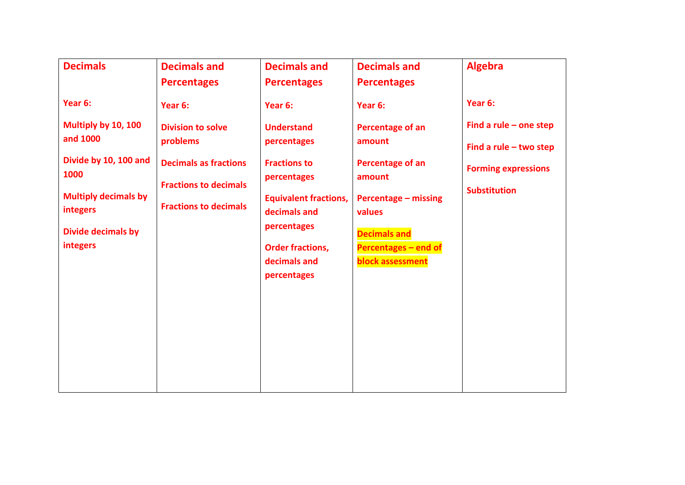| <b>Decimals</b>                                | <b>Decimals and</b>                                                                          | <b>Decimals and</b>                          | <b>Decimals and</b>                                          | <b>Algebra</b>                                                                |
|------------------------------------------------|----------------------------------------------------------------------------------------------|----------------------------------------------|--------------------------------------------------------------|-------------------------------------------------------------------------------|
|                                                | <b>Percentages</b>                                                                           | <b>Percentages</b>                           | <b>Percentages</b>                                           |                                                                               |
| Year 6:                                        | Year 6:                                                                                      | Year 6:                                      | Year 6:                                                      | Year 6:                                                                       |
| Multiply by 10, 100<br>and 1000                | <b>Division to solve</b><br>problems                                                         | <b>Understand</b><br>percentages             | Percentage of an<br>amount                                   | Find a rule $-$ one step                                                      |
| Divide by 10, 100 and<br>1000                  | <b>Decimals as fractions</b><br><b>Fractions to decimals</b><br><b>Fractions to decimals</b> | <b>Fractions to</b><br>percentages           | Percentage of an<br>amount<br>Percentage - missing<br>values | Find a rule $-$ two step<br><b>Forming expressions</b><br><b>Substitution</b> |
| <b>Multiply decimals by</b><br><b>integers</b> |                                                                                              | <b>Equivalent fractions,</b><br>decimals and |                                                              |                                                                               |
| <b>Divide decimals by</b>                      |                                                                                              | percentages                                  | <b>Decimals and</b>                                          |                                                                               |
| <b>integers</b>                                |                                                                                              | <b>Order fractions,</b><br>decimals and      | Percentages - end of<br><b>block assessment</b>              |                                                                               |
|                                                |                                                                                              | percentages                                  |                                                              |                                                                               |
|                                                |                                                                                              |                                              |                                                              |                                                                               |
|                                                |                                                                                              |                                              |                                                              |                                                                               |
|                                                |                                                                                              |                                              |                                                              |                                                                               |
|                                                |                                                                                              |                                              |                                                              |                                                                               |
|                                                |                                                                                              |                                              |                                                              |                                                                               |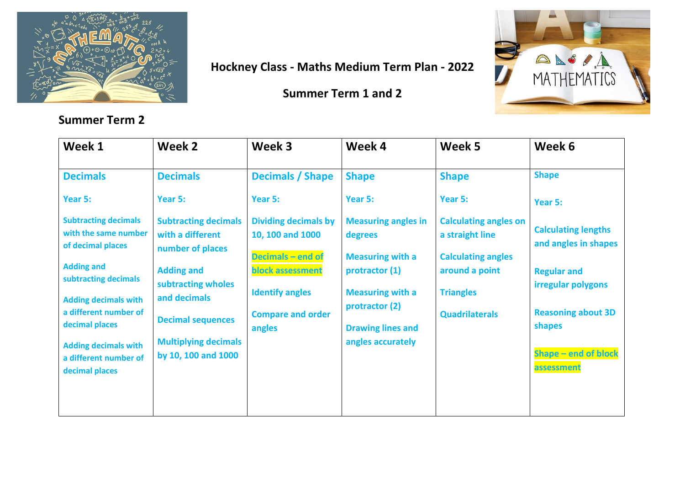

# **Hockney Class - Maths Medium Term Plan - 2022**

**Summer Term 1 and 2** 



| Week 1                                                                                                                                                                                                                                                                    | Week 2                                                                                                                                                                                                           | Week 3                                                                                                                                                          | Week 4                                                                                                                                                                           | Week 5                                                                                                                                      | Week 6                                                                                                                                                                             |
|---------------------------------------------------------------------------------------------------------------------------------------------------------------------------------------------------------------------------------------------------------------------------|------------------------------------------------------------------------------------------------------------------------------------------------------------------------------------------------------------------|-----------------------------------------------------------------------------------------------------------------------------------------------------------------|----------------------------------------------------------------------------------------------------------------------------------------------------------------------------------|---------------------------------------------------------------------------------------------------------------------------------------------|------------------------------------------------------------------------------------------------------------------------------------------------------------------------------------|
| <b>Decimals</b>                                                                                                                                                                                                                                                           | <b>Decimals</b>                                                                                                                                                                                                  | <b>Decimals / Shape</b>                                                                                                                                         | <b>Shape</b>                                                                                                                                                                     | <b>Shape</b>                                                                                                                                | <b>Shape</b>                                                                                                                                                                       |
| Year 5:                                                                                                                                                                                                                                                                   | Year 5:                                                                                                                                                                                                          | Year 5:                                                                                                                                                         | Year 5:                                                                                                                                                                          | Year 5:                                                                                                                                     | Year 5:                                                                                                                                                                            |
| <b>Subtracting decimals</b><br>with the same number<br>of decimal places<br><b>Adding and</b><br>subtracting decimals<br><b>Adding decimals with</b><br>a different number of<br>decimal places<br><b>Adding decimals with</b><br>a different number of<br>decimal places | <b>Subtracting decimals</b><br>with a different<br>number of places<br><b>Adding and</b><br>subtracting wholes<br>and decimals<br><b>Decimal sequences</b><br><b>Multiplying decimals</b><br>by 10, 100 and 1000 | <b>Dividing decimals by</b><br>10, 100 and 1000<br>Decimals - end of<br><b>block assessment</b><br><b>Identify angles</b><br><b>Compare and order</b><br>angles | <b>Measuring angles in</b><br>degrees<br><b>Measuring with a</b><br>protractor (1)<br><b>Measuring with a</b><br>protractor (2)<br><b>Drawing lines and</b><br>angles accurately | <b>Calculating angles on</b><br>a straight line<br><b>Calculating angles</b><br>around a point<br><b>Triangles</b><br><b>Quadrilaterals</b> | <b>Calculating lengths</b><br>and angles in shapes<br><b>Regular and</b><br>irregular polygons<br><b>Reasoning about 3D</b><br>shapes<br><b>Shape - end of block</b><br>assessment |
|                                                                                                                                                                                                                                                                           |                                                                                                                                                                                                                  |                                                                                                                                                                 |                                                                                                                                                                                  |                                                                                                                                             |                                                                                                                                                                                    |

#### **Summer Term 2**